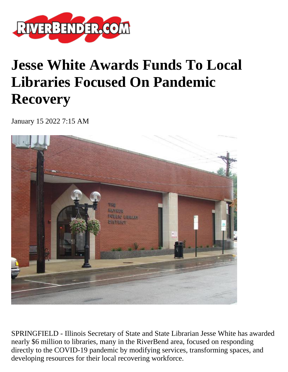

## **Jesse White Awards Funds To Local Libraries Focused On Pandemic Recovery**

January 15 2022 7:15 AM



SPRINGFIELD - Illinois Secretary of State and State Librarian Jesse White has awarded nearly \$6 million to libraries, many in the RiverBend area, focused on responding directly to the COVID-19 pandemic by modifying services, transforming spaces, and developing resources for their local recovering workforce.